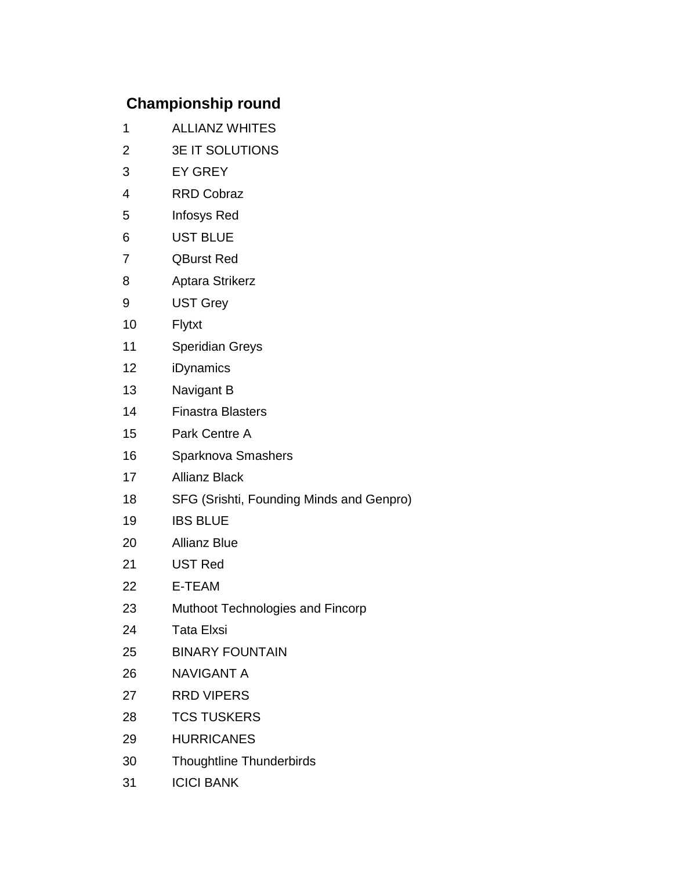## **Championship round**

- 1 ALLIANZ WHITES
- 2 3E IT SOLUTIONS
- 3 EY GREY
- 4 RRD Cobraz
- 5 Infosys Red
- 6 UST BLUE
- 7 QBurst Red
- 8 Aptara Strikerz
- 9 UST Grey
- 10 Flytxt
- 11 Speridian Greys
- 12 iDynamics
- 13 Navigant B
- 14 Finastra Blasters
- 15 Park Centre A
- 16 Sparknova Smashers
- 17 Allianz Black
- 18 SFG (Srishti, Founding Minds and Genpro)
- 19 IBS BLUE
- 20 Allianz Blue
- 21 UST Red
- 22 E-TEAM
- 23 Muthoot Technologies and Fincorp
- 24 Tata Elxsi
- 25 BINARY FOUNTAIN
- 26 NAVIGANT A
- 27 RRD VIPERS
- 28 TCS TUSKERS
- 29 HURRICANES
- 30 Thoughtline Thunderbirds
- 31 ICICI BANK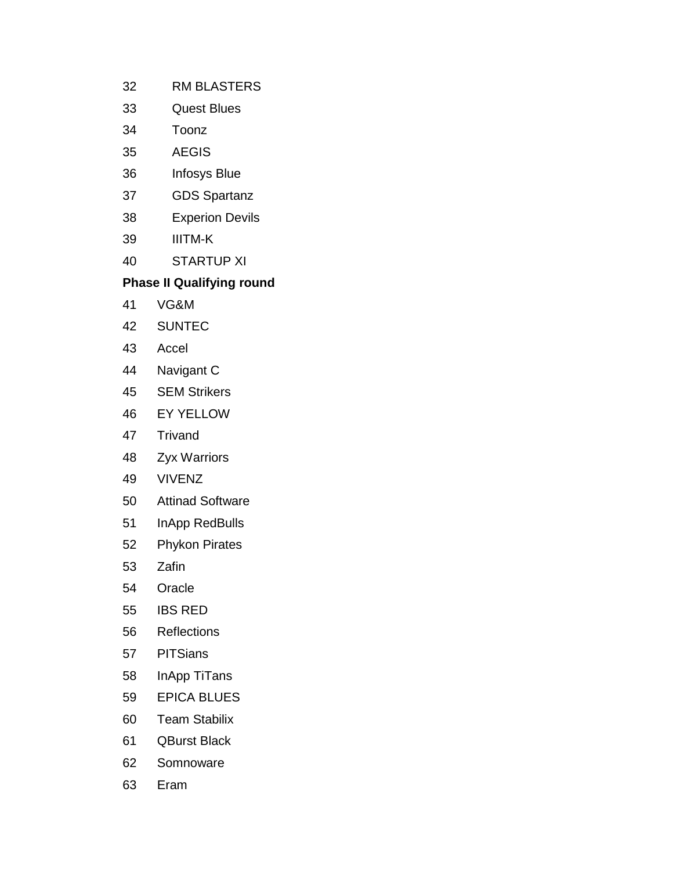- 32 RM BLASTERS
- 33 Quest Blues
- 34 Toonz
- 35 AEGIS
- 36 Infosys Blue
- 37 GDS Spartanz
- 38 Experion Devils
- 39 IIITM-K
- 40 STARTUP XI

## **Phase II Qualifying round**

- 41 VG&M
- 42 SUNTEC
- 43 Accel
- 44 Navigant C
- 45 SEM Strikers
- 46 EY YELLOW
- 47 Trivand
- 48 Zyx Warriors
- 49 VIVENZ
- 50 Attinad Software
- 51 InApp RedBulls
- 52 Phykon Pirates
- 53 Zafin
- 54 Oracle
- 55 IBS RED
- 56 Reflections
- 57 PITSians
- 58 InApp TiTans
- 59 EPICA BLUES
- 60 Team Stabilix
- 61 QBurst Black
- 62 Somnoware
- 63 Eram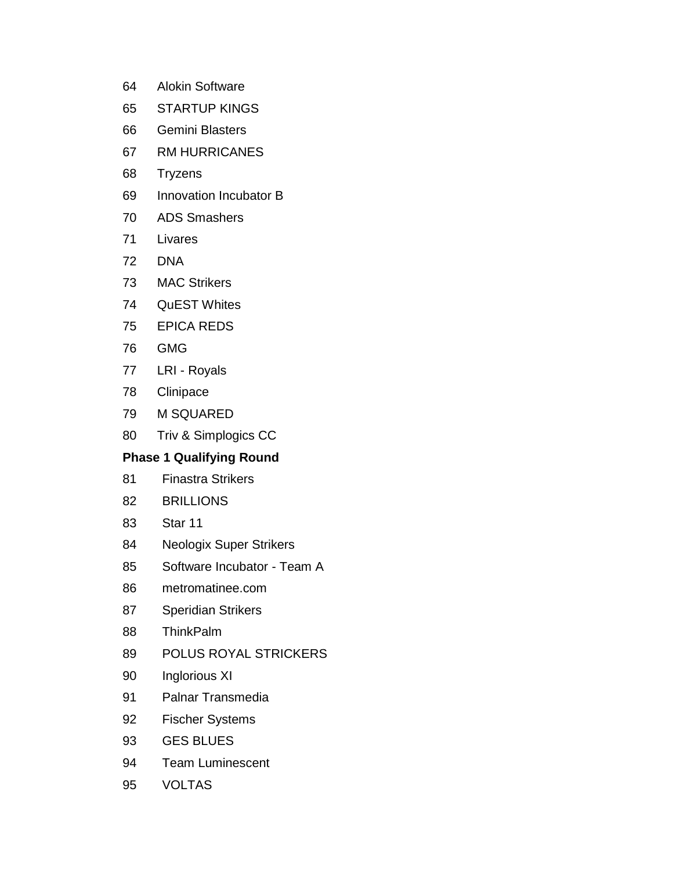- 64 Alokin Software
- 65 STARTUP KINGS
- 66 Gemini Blasters
- 67 RM HURRICANES
- 68 Tryzens
- 69 Innovation Incubator B
- 70 ADS Smashers
- 71 Livares
- 72 DNA
- 73 MAC Strikers
- 74 QuEST Whites
- 75 EPICA REDS
- 76 GMG
- 77 LRI Royals
- 78 Clinipace
- 79 M SQUARED
- 80 Triv & Simplogics CC

## **Phase 1 Qualifying Round**

- 81 Finastra Strikers
- 82 BRILLIONS
- 83 Star 11
- 84 Neologix Super Strikers
- 85 Software Incubator Team A
- 86 metromatinee.com
- 87 Speridian Strikers
- 88 ThinkPalm
- 89 POLUS ROYAL STRICKERS
- 90 Inglorious XI
- 91 Palnar Transmedia
- 92 Fischer Systems
- 93 GES BLUES
- 94 Team Luminescent
- 95 VOLTAS